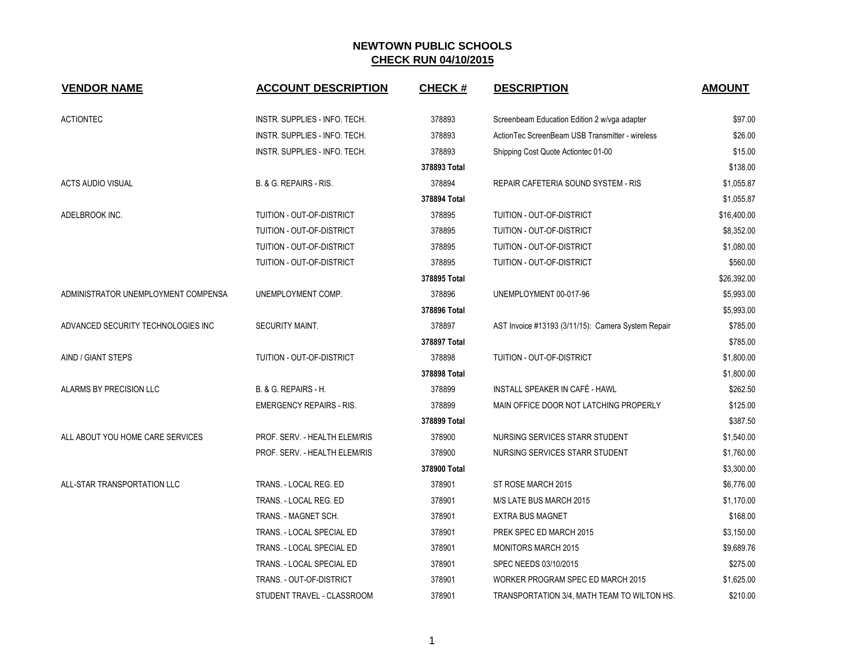| <b>VENDOR NAME</b>                  | <b>ACCOUNT DESCRIPTION</b>      | CHECK #      | <b>DESCRIPTION</b>                                 | <b>AMOUNT</b> |
|-------------------------------------|---------------------------------|--------------|----------------------------------------------------|---------------|
| <b>ACTIONTEC</b>                    | INSTR. SUPPLIES - INFO. TECH.   | 378893       | Screenbeam Education Edition 2 w/vga adapter       | \$97.00       |
|                                     | INSTR. SUPPLIES - INFO. TECH.   | 378893       | Action Tec Screen Beam USB Transmitter - wireless  | \$26.00       |
|                                     | INSTR. SUPPLIES - INFO. TECH.   | 378893       | Shipping Cost Quote Actiontec 01-00                | \$15.00       |
|                                     |                                 | 378893 Total |                                                    | \$138.00      |
| <b>ACTS AUDIO VISUAL</b>            | B. & G. REPAIRS - RIS.          | 378894       | REPAIR CAFETERIA SOUND SYSTEM - RIS                | \$1,055.87    |
|                                     |                                 | 378894 Total |                                                    | \$1,055.87    |
| ADELBROOK INC.                      | TUITION - OUT-OF-DISTRICT       | 378895       | TUITION - OUT-OF-DISTRICT                          | \$16,400.00   |
|                                     | TUITION - OUT-OF-DISTRICT       | 378895       | TUITION - OUT-OF-DISTRICT                          | \$8,352.00    |
|                                     | TUITION - OUT-OF-DISTRICT       | 378895       | TUITION - OUT-OF-DISTRICT                          | \$1,080.00    |
|                                     | TUITION - OUT-OF-DISTRICT       | 378895       | TUITION - OUT-OF-DISTRICT                          | \$560.00      |
|                                     |                                 | 378895 Total |                                                    | \$26,392.00   |
| ADMINISTRATOR UNEMPLOYMENT COMPENSA | UNEMPLOYMENT COMP.              | 378896       | UNEMPLOYMENT 00-017-96                             | \$5,993.00    |
|                                     |                                 | 378896 Total |                                                    | \$5,993.00    |
| ADVANCED SECURITY TECHNOLOGIES INC  | <b>SECURITY MAINT.</b>          | 378897       | AST Invoice #13193 (3/11/15): Camera System Repair | \$785.00      |
|                                     |                                 | 378897 Total |                                                    | \$785.00      |
| AIND / GIANT STEPS                  | TUITION - OUT-OF-DISTRICT       | 378898       | TUITION - OUT-OF-DISTRICT                          | \$1,800.00    |
|                                     |                                 | 378898 Total |                                                    | \$1,800.00    |
| ALARMS BY PRECISION LLC             | B. & G. REPAIRS - H.            | 378899       | INSTALL SPEAKER IN CAFÉ - HAWL                     | \$262.50      |
|                                     | <b>EMERGENCY REPAIRS - RIS.</b> | 378899       | MAIN OFFICE DOOR NOT LATCHING PROPERLY             | \$125.00      |
|                                     |                                 | 378899 Total |                                                    | \$387.50      |
| ALL ABOUT YOU HOME CARE SERVICES    | PROF. SERV. - HEALTH ELEM/RIS   | 378900       | NURSING SERVICES STARR STUDENT                     | \$1,540.00    |
|                                     | PROF. SERV. - HEALTH ELEM/RIS   | 378900       | NURSING SERVICES STARR STUDENT                     | \$1,760.00    |
|                                     |                                 | 378900 Total |                                                    | \$3,300.00    |
| ALL-STAR TRANSPORTATION LLC         | TRANS. - LOCAL REG. ED          | 378901       | ST ROSE MARCH 2015                                 | \$6,776.00    |
|                                     | TRANS. - LOCAL REG. ED          | 378901       | M/S LATE BUS MARCH 2015                            | \$1,170.00    |
|                                     | TRANS. - MAGNET SCH.            | 378901       | <b>EXTRA BUS MAGNET</b>                            | \$168.00      |
|                                     | TRANS. - LOCAL SPECIAL ED       | 378901       | PREK SPEC ED MARCH 2015                            | \$3,150.00    |
|                                     | TRANS. - LOCAL SPECIAL ED       | 378901       | <b>MONITORS MARCH 2015</b>                         | \$9,689.76    |
|                                     | TRANS. - LOCAL SPECIAL ED       | 378901       | SPEC NEEDS 03/10/2015                              | \$275.00      |
|                                     | TRANS. - OUT-OF-DISTRICT        | 378901       | WORKER PROGRAM SPEC ED MARCH 2015                  | \$1,625.00    |
|                                     | STUDENT TRAVEL - CLASSROOM      | 378901       | TRANSPORTATION 3/4, MATH TEAM TO WILTON HS.        | \$210.00      |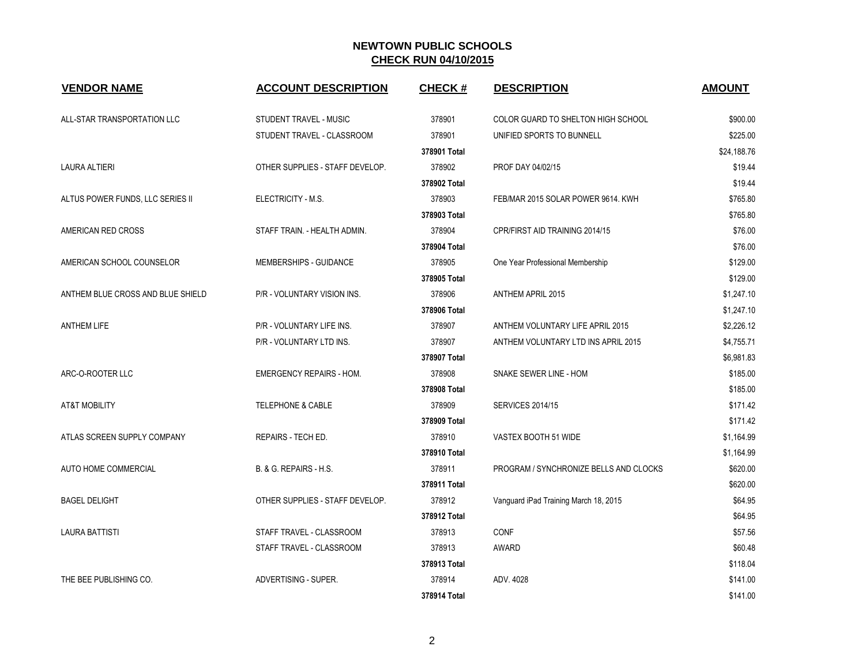| <b>VENDOR NAME</b>                | <b>ACCOUNT DESCRIPTION</b>      | <b>CHECK#</b> | <b>DESCRIPTION</b>                     | <b>AMOUNT</b> |
|-----------------------------------|---------------------------------|---------------|----------------------------------------|---------------|
| ALL-STAR TRANSPORTATION LLC       | STUDENT TRAVEL - MUSIC          | 378901        | COLOR GUARD TO SHELTON HIGH SCHOOL     | \$900.00      |
|                                   | STUDENT TRAVEL - CLASSROOM      | 378901        | UNIFIED SPORTS TO BUNNELL              | \$225.00      |
|                                   |                                 | 378901 Total  |                                        | \$24,188.76   |
| <b>LAURA ALTIERI</b>              | OTHER SUPPLIES - STAFF DEVELOP. | 378902        | PROF DAY 04/02/15                      | \$19.44       |
|                                   |                                 | 378902 Total  |                                        | \$19.44       |
| ALTUS POWER FUNDS, LLC SERIES II  | ELECTRICITY - M.S.              | 378903        | FEB/MAR 2015 SOLAR POWER 9614. KWH     | \$765.80      |
|                                   |                                 | 378903 Total  |                                        | \$765.80      |
| AMERICAN RED CROSS                | STAFF TRAIN. - HEALTH ADMIN.    | 378904        | CPR/FIRST AID TRAINING 2014/15         | \$76.00       |
|                                   |                                 | 378904 Total  |                                        | \$76.00       |
| AMERICAN SCHOOL COUNSELOR         | <b>MEMBERSHIPS - GUIDANCE</b>   | 378905        | One Year Professional Membership       | \$129.00      |
|                                   |                                 | 378905 Total  |                                        | \$129.00      |
| ANTHEM BLUE CROSS AND BLUE SHIELD | P/R - VOLUNTARY VISION INS.     | 378906        | <b>ANTHEM APRIL 2015</b>               | \$1,247.10    |
|                                   |                                 | 378906 Total  |                                        | \$1,247.10    |
| <b>ANTHEM LIFE</b>                | P/R - VOLUNTARY LIFE INS.       | 378907        | ANTHEM VOLUNTARY LIFE APRIL 2015       | \$2,226.12    |
|                                   | P/R - VOLUNTARY LTD INS.        | 378907        | ANTHEM VOLUNTARY LTD INS APRIL 2015    | \$4,755.71    |
|                                   |                                 | 378907 Total  |                                        | \$6,981.83    |
| ARC-O-ROOTER LLC                  | <b>EMERGENCY REPAIRS - HOM.</b> | 378908        | SNAKE SEWER LINE - HOM                 | \$185.00      |
|                                   |                                 | 378908 Total  |                                        | \$185.00      |
| <b>AT&amp;T MOBILITY</b>          | <b>TELEPHONE &amp; CABLE</b>    | 378909        | <b>SERVICES 2014/15</b>                | \$171.42      |
|                                   |                                 | 378909 Total  |                                        | \$171.42      |
| ATLAS SCREEN SUPPLY COMPANY       | REPAIRS - TECH ED.              | 378910        | VASTEX BOOTH 51 WIDE                   | \$1,164.99    |
|                                   |                                 | 378910 Total  |                                        | \$1,164.99    |
| AUTO HOME COMMERCIAL              | B. & G. REPAIRS - H.S.          | 378911        | PROGRAM / SYNCHRONIZE BELLS AND CLOCKS | \$620.00      |
|                                   |                                 | 378911 Total  |                                        | \$620.00      |
| <b>BAGEL DELIGHT</b>              | OTHER SUPPLIES - STAFF DEVELOP. | 378912        | Vanguard iPad Training March 18, 2015  | \$64.95       |
|                                   |                                 | 378912 Total  |                                        | \$64.95       |
| <b>LAURA BATTISTI</b>             | STAFF TRAVEL - CLASSROOM        | 378913        | <b>CONF</b>                            | \$57.56       |
|                                   | STAFF TRAVEL - CLASSROOM        | 378913        | <b>AWARD</b>                           | \$60.48       |
|                                   |                                 | 378913 Total  |                                        | \$118.04      |
| THE BEE PUBLISHING CO.            | ADVERTISING - SUPER.            | 378914        | ADV. 4028                              | \$141.00      |
|                                   |                                 | 378914 Total  |                                        | \$141.00      |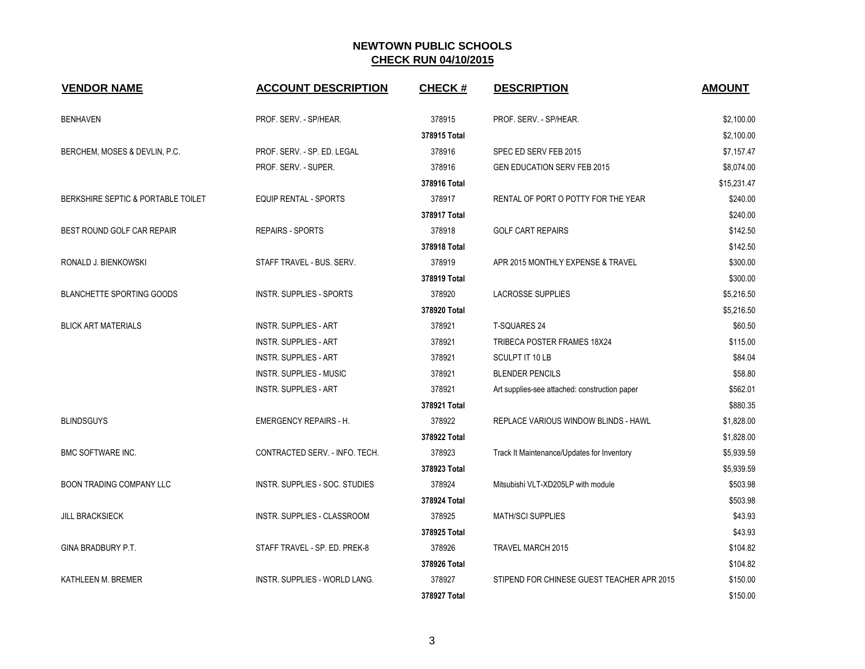| <b>VENDOR NAME</b>                 | <b>ACCOUNT DESCRIPTION</b>           | CHECK #      | <b>DESCRIPTION</b>                            | <b>AMOUNT</b> |
|------------------------------------|--------------------------------------|--------------|-----------------------------------------------|---------------|
| <b>BENHAVEN</b>                    | PROF. SERV. - SP/HEAR.               | 378915       | PROF. SERV. - SP/HEAR.                        | \$2,100.00    |
|                                    |                                      | 378915 Total |                                               | \$2,100.00    |
| BERCHEM, MOSES & DEVLIN, P.C.      | PROF. SERV. - SP. ED. LEGAL          | 378916       | SPEC ED SERV FEB 2015                         | \$7,157.47    |
|                                    | PROF. SERV. - SUPER.                 | 378916       | <b>GEN EDUCATION SERV FEB 2015</b>            | \$8,074.00    |
|                                    |                                      | 378916 Total |                                               | \$15,231.47   |
| BERKSHIRE SEPTIC & PORTABLE TOILET | <b>EQUIP RENTAL - SPORTS</b>         | 378917       | RENTAL OF PORT O POTTY FOR THE YEAR           | \$240.00      |
|                                    |                                      | 378917 Total |                                               | \$240.00      |
| BEST ROUND GOLF CAR REPAIR         | <b>REPAIRS - SPORTS</b>              | 378918       | <b>GOLF CART REPAIRS</b>                      | \$142.50      |
|                                    |                                      | 378918 Total |                                               | \$142.50      |
| RONALD J. BIENKOWSKI               | STAFF TRAVEL - BUS. SERV.            | 378919       | APR 2015 MONTHLY EXPENSE & TRAVEL             | \$300.00      |
|                                    |                                      | 378919 Total |                                               | \$300.00      |
| <b>BLANCHETTE SPORTING GOODS</b>   | <b>INSTR. SUPPLIES - SPORTS</b>      | 378920       | <b>LACROSSE SUPPLIES</b>                      | \$5,216.50    |
|                                    |                                      | 378920 Total |                                               | \$5,216.50    |
| <b>BLICK ART MATERIALS</b>         | <b>INSTR. SUPPLIES - ART</b>         | 378921       | <b>T-SQUARES 24</b>                           | \$60.50       |
|                                    | <b>INSTR. SUPPLIES - ART</b>         | 378921       | TRIBECA POSTER FRAMES 18X24                   | \$115.00      |
|                                    | <b>INSTR. SUPPLIES - ART</b>         | 378921       | SCULPT IT 10 LB                               | \$84.04       |
|                                    | <b>INSTR. SUPPLIES - MUSIC</b>       | 378921       | <b>BLENDER PENCILS</b>                        | \$58.80       |
|                                    | <b>INSTR. SUPPLIES - ART</b>         | 378921       | Art supplies-see attached: construction paper | \$562.01      |
|                                    |                                      | 378921 Total |                                               | \$880.35      |
| <b>BLINDSGUYS</b>                  | <b>EMERGENCY REPAIRS - H.</b>        | 378922       | REPLACE VARIOUS WINDOW BLINDS - HAWL          | \$1,828.00    |
|                                    |                                      | 378922 Total |                                               | \$1,828.00    |
| <b>BMC SOFTWARE INC.</b>           | CONTRACTED SERV. - INFO. TECH.       | 378923       | Track It Maintenance/Updates for Inventory    | \$5,939.59    |
|                                    |                                      | 378923 Total |                                               | \$5,939.59    |
| <b>BOON TRADING COMPANY LLC</b>    | INSTR. SUPPLIES - SOC. STUDIES       | 378924       | Mitsubishi VLT-XD205LP with module            | \$503.98      |
|                                    |                                      | 378924 Total |                                               | \$503.98      |
| <b>JILL BRACKSIECK</b>             | <b>INSTR. SUPPLIES - CLASSROOM</b>   | 378925       | <b>MATH/SCI SUPPLIES</b>                      | \$43.93       |
|                                    |                                      | 378925 Total |                                               | \$43.93       |
| GINA BRADBURY P.T.                 | STAFF TRAVEL - SP. ED. PREK-8        | 378926       | <b>TRAVEL MARCH 2015</b>                      | \$104.82      |
|                                    |                                      | 378926 Total |                                               | \$104.82      |
| KATHLEEN M. BREMER                 | <b>INSTR. SUPPLIES - WORLD LANG.</b> | 378927       | STIPEND FOR CHINESE GUEST TEACHER APR 2015    | \$150.00      |
|                                    |                                      | 378927 Total |                                               | \$150.00      |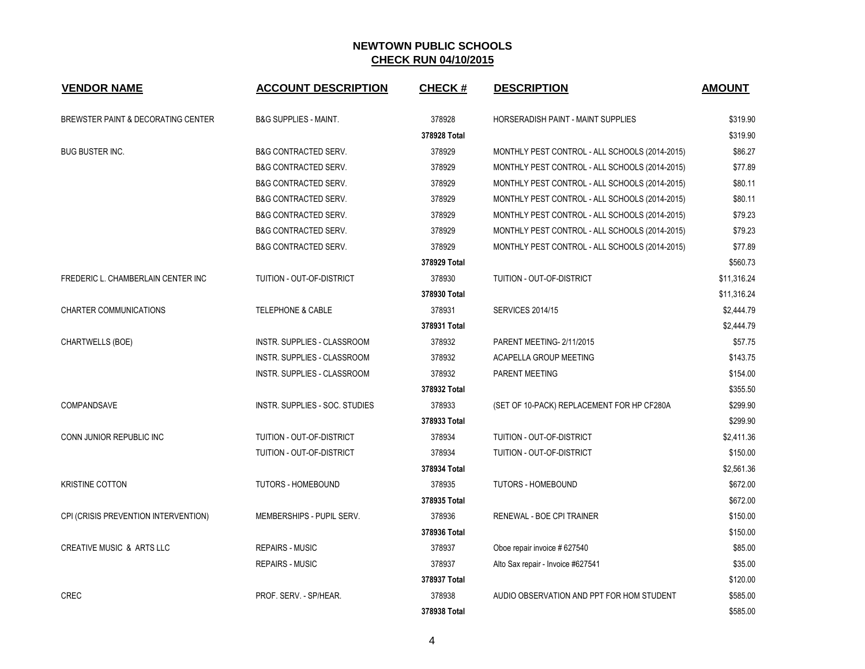| <b>VENDOR NAME</b>                   | <b>ACCOUNT DESCRIPTION</b>         | <b>CHECK#</b> | <b>DESCRIPTION</b>                             | <b>AMOUNT</b> |
|--------------------------------------|------------------------------------|---------------|------------------------------------------------|---------------|
| BREWSTER PAINT & DECORATING CENTER   | <b>B&amp;G SUPPLIES - MAINT.</b>   | 378928        | HORSERADISH PAINT - MAINT SUPPLIES             | \$319.90      |
|                                      |                                    | 378928 Total  |                                                | \$319.90      |
| <b>BUG BUSTER INC.</b>               | <b>B&amp;G CONTRACTED SERV.</b>    | 378929        | MONTHLY PEST CONTROL - ALL SCHOOLS (2014-2015) | \$86.27       |
|                                      | <b>B&amp;G CONTRACTED SERV.</b>    | 378929        | MONTHLY PEST CONTROL - ALL SCHOOLS (2014-2015) | \$77.89       |
|                                      | <b>B&amp;G CONTRACTED SERV.</b>    | 378929        | MONTHLY PEST CONTROL - ALL SCHOOLS (2014-2015) | \$80.11       |
|                                      | <b>B&amp;G CONTRACTED SERV.</b>    | 378929        | MONTHLY PEST CONTROL - ALL SCHOOLS (2014-2015) | \$80.11       |
|                                      | <b>B&amp;G CONTRACTED SERV.</b>    | 378929        | MONTHLY PEST CONTROL - ALL SCHOOLS (2014-2015) | \$79.23       |
|                                      | <b>B&amp;G CONTRACTED SERV.</b>    | 378929        | MONTHLY PEST CONTROL - ALL SCHOOLS (2014-2015) | \$79.23       |
|                                      | <b>B&amp;G CONTRACTED SERV.</b>    | 378929        | MONTHLY PEST CONTROL - ALL SCHOOLS (2014-2015) | \$77.89       |
|                                      |                                    | 378929 Total  |                                                | \$560.73      |
| FREDERIC L. CHAMBERLAIN CENTER INC   | TUITION - OUT-OF-DISTRICT          | 378930        | TUITION - OUT-OF-DISTRICT                      | \$11,316.24   |
|                                      |                                    | 378930 Total  |                                                | \$11,316.24   |
| <b>CHARTER COMMUNICATIONS</b>        | <b>TELEPHONE &amp; CABLE</b>       | 378931        | <b>SERVICES 2014/15</b>                        | \$2,444.79    |
|                                      |                                    | 378931 Total  |                                                | \$2,444.79    |
| <b>CHARTWELLS (BOE)</b>              | <b>INSTR. SUPPLIES - CLASSROOM</b> | 378932        | PARENT MEETING-2/11/2015                       | \$57.75       |
|                                      | INSTR. SUPPLIES - CLASSROOM        | 378932        | ACAPELLA GROUP MEETING                         | \$143.75      |
|                                      | INSTR. SUPPLIES - CLASSROOM        | 378932        | PARENT MEETING                                 | \$154.00      |
|                                      |                                    | 378932 Total  |                                                | \$355.50      |
| COMPANDSAVE                          | INSTR. SUPPLIES - SOC. STUDIES     | 378933        | (SET OF 10-PACK) REPLACEMENT FOR HP CF280A     | \$299.90      |
|                                      |                                    | 378933 Total  |                                                | \$299.90      |
| CONN JUNIOR REPUBLIC INC             | TUITION - OUT-OF-DISTRICT          | 378934        | TUITION - OUT-OF-DISTRICT                      | \$2,411.36    |
|                                      | TUITION - OUT-OF-DISTRICT          | 378934        | TUITION - OUT-OF-DISTRICT                      | \$150.00      |
|                                      |                                    | 378934 Total  |                                                | \$2,561.36    |
| <b>KRISTINE COTTON</b>               | <b>TUTORS - HOMEBOUND</b>          | 378935        | <b>TUTORS - HOMEBOUND</b>                      | \$672.00      |
|                                      |                                    | 378935 Total  |                                                | \$672.00      |
| CPI (CRISIS PREVENTION INTERVENTION) | MEMBERSHIPS - PUPIL SERV.          | 378936        | RENEWAL - BOE CPI TRAINER                      | \$150.00      |
|                                      |                                    | 378936 Total  |                                                | \$150.00      |
| CREATIVE MUSIC & ARTS LLC            | <b>REPAIRS - MUSIC</b>             | 378937        | Oboe repair invoice #627540                    | \$85.00       |
|                                      | <b>REPAIRS - MUSIC</b>             | 378937        | Alto Sax repair - Invoice #627541              | \$35.00       |
|                                      |                                    | 378937 Total  |                                                | \$120.00      |
| <b>CREC</b>                          | PROF. SERV. - SP/HEAR.             | 378938        | AUDIO OBSERVATION AND PPT FOR HOM STUDENT      | \$585.00      |
|                                      |                                    | 378938 Total  |                                                | \$585.00      |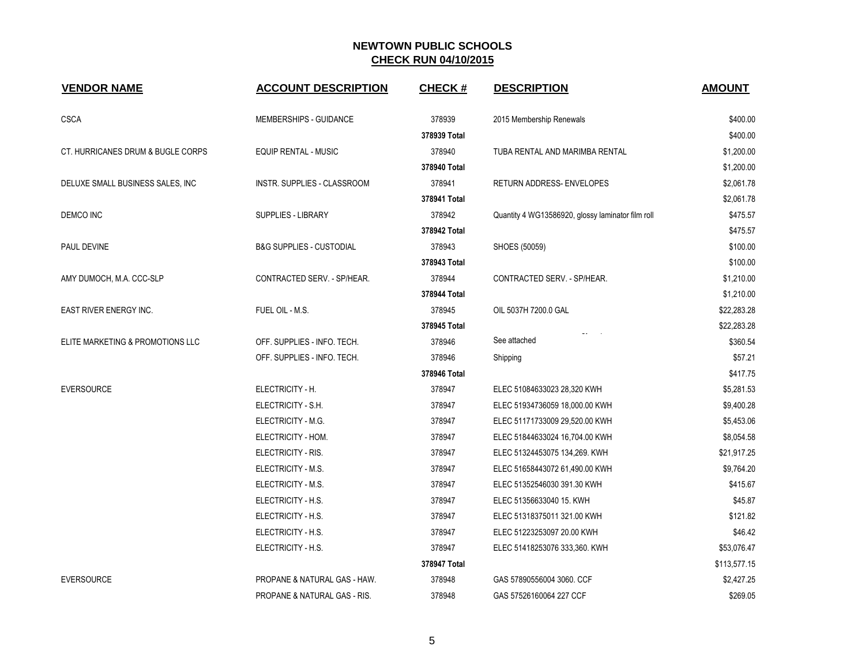| <b>VENDOR NAME</b>                | <b>ACCOUNT DESCRIPTION</b>          | <b>CHECK#</b> | <b>DESCRIPTION</b>                                | <b>AMOUNT</b> |
|-----------------------------------|-------------------------------------|---------------|---------------------------------------------------|---------------|
| <b>CSCA</b>                       | MEMBERSHIPS - GUIDANCE              | 378939        | 2015 Membership Renewals                          | \$400.00      |
|                                   |                                     | 378939 Total  |                                                   | \$400.00      |
| CT. HURRICANES DRUM & BUGLE CORPS | <b>EQUIP RENTAL - MUSIC</b>         | 378940        | TUBA RENTAL AND MARIMBA RENTAL                    | \$1,200.00    |
|                                   |                                     | 378940 Total  |                                                   | \$1,200.00    |
| DELUXE SMALL BUSINESS SALES, INC  | INSTR. SUPPLIES - CLASSROOM         | 378941        | RETURN ADDRESS- ENVELOPES                         | \$2,061.78    |
|                                   |                                     | 378941 Total  |                                                   | \$2,061.78    |
| <b>DEMCO INC</b>                  | <b>SUPPLIES - LIBRARY</b>           | 378942        | Quantity 4 WG13586920, glossy laminator film roll | \$475.57      |
|                                   |                                     | 378942 Total  |                                                   | \$475.57      |
| PAUL DEVINE                       | <b>B&amp;G SUPPLIES - CUSTODIAL</b> | 378943        | SHOES (50059)                                     | \$100.00      |
|                                   |                                     | 378943 Total  |                                                   | \$100.00      |
| AMY DUMOCH, M.A. CCC-SLP          | CONTRACTED SERV. - SP/HEAR.         | 378944        | CONTRACTED SERV. - SP/HEAR.                       | \$1,210.00    |
|                                   |                                     | 378944 Total  |                                                   | \$1,210.00    |
| EAST RIVER ENERGY INC.            | FUEL OIL - M.S.                     | 378945        | OIL 5037H 7200.0 GAL                              | \$22,283.28   |
|                                   |                                     | 378945 Total  |                                                   | \$22,283.28   |
| ELITE MARKETING & PROMOTIONS LLC  | OFF. SUPPLIES - INFO. TECH.         | 378946        | See attached                                      | \$360.54      |
|                                   | OFF. SUPPLIES - INFO. TECH.         | 378946        | Shipping                                          | \$57.21       |
|                                   |                                     | 378946 Total  |                                                   | \$417.75      |
| <b>EVERSOURCE</b>                 | ELECTRICITY - H.                    | 378947        | ELEC 51084633023 28,320 KWH                       | \$5,281.53    |
|                                   | ELECTRICITY - S.H.                  | 378947        | ELEC 51934736059 18,000.00 KWH                    | \$9,400.28    |
|                                   | ELECTRICITY - M.G.                  | 378947        | ELEC 51171733009 29,520.00 KWH                    | \$5,453.06    |
|                                   | ELECTRICITY - HOM.                  | 378947        | ELEC 51844633024 16,704.00 KWH                    | \$8,054.58    |
|                                   | ELECTRICITY - RIS.                  | 378947        | ELEC 51324453075 134,269. KWH                     | \$21,917.25   |
|                                   | ELECTRICITY - M.S.                  | 378947        | ELEC 51658443072 61,490.00 KWH                    | \$9,764.20    |
|                                   | ELECTRICITY - M.S.                  | 378947        | ELEC 51352546030 391.30 KWH                       | \$415.67      |
|                                   | ELECTRICITY - H.S.                  | 378947        | ELEC 51356633040 15. KWH                          | \$45.87       |
|                                   | ELECTRICITY - H.S.                  | 378947        | ELEC 51318375011 321.00 KWH                       | \$121.82      |
|                                   | ELECTRICITY - H.S.                  | 378947        | ELEC 51223253097 20.00 KWH                        | \$46.42       |
|                                   | ELECTRICITY - H.S.                  | 378947        | ELEC 51418253076 333,360. KWH                     | \$53,076.47   |
|                                   |                                     | 378947 Total  |                                                   | \$113,577.15  |
| <b>EVERSOURCE</b>                 | PROPANE & NATURAL GAS - HAW.        | 378948        | GAS 57890556004 3060, CCF                         | \$2,427.25    |
|                                   | PROPANE & NATURAL GAS - RIS.        | 378948        | GAS 57526160064 227 CCF                           | \$269.05      |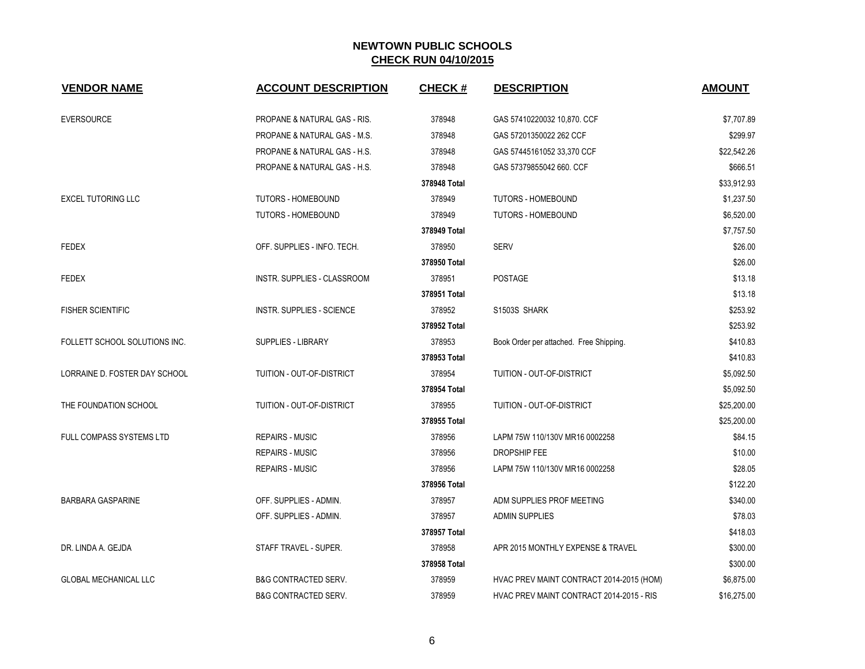| <b>VENDOR NAME</b>            | <b>ACCOUNT DESCRIPTION</b>       | <b>CHECK#</b> | <b>DESCRIPTION</b>                       | <b>AMOUNT</b> |
|-------------------------------|----------------------------------|---------------|------------------------------------------|---------------|
| <b>EVERSOURCE</b>             | PROPANE & NATURAL GAS - RIS.     | 378948        | GAS 57410220032 10,870. CCF              | \$7,707.89    |
|                               | PROPANE & NATURAL GAS - M.S.     | 378948        | GAS 57201350022 262 CCF                  | \$299.97      |
|                               | PROPANE & NATURAL GAS - H.S.     | 378948        | GAS 57445161052 33,370 CCF               | \$22,542.26   |
|                               | PROPANE & NATURAL GAS - H.S.     | 378948        | GAS 57379855042 660. CCF                 | \$666.51      |
|                               |                                  | 378948 Total  |                                          | \$33,912.93   |
| <b>EXCEL TUTORING LLC</b>     | <b>TUTORS - HOMEBOUND</b>        | 378949        | <b>TUTORS - HOMEBOUND</b>                | \$1,237.50    |
|                               | TUTORS - HOMEBOUND               | 378949        | <b>TUTORS - HOMEBOUND</b>                | \$6,520.00    |
|                               |                                  | 378949 Total  |                                          | \$7,757.50    |
| <b>FEDEX</b>                  | OFF. SUPPLIES - INFO. TECH.      | 378950        | <b>SERV</b>                              | \$26.00       |
|                               |                                  | 378950 Total  |                                          | \$26.00       |
| <b>FEDEX</b>                  | INSTR. SUPPLIES - CLASSROOM      | 378951        | POSTAGE                                  | \$13.18       |
|                               |                                  | 378951 Total  |                                          | \$13.18       |
| <b>FISHER SCIENTIFIC</b>      | <b>INSTR. SUPPLIES - SCIENCE</b> | 378952        | S1503S SHARK                             | \$253.92      |
|                               |                                  | 378952 Total  |                                          | \$253.92      |
| FOLLETT SCHOOL SOLUTIONS INC. | <b>SUPPLIES - LIBRARY</b>        | 378953        | Book Order per attached. Free Shipping.  | \$410.83      |
|                               |                                  | 378953 Total  |                                          | \$410.83      |
| LORRAINE D. FOSTER DAY SCHOOL | TUITION - OUT-OF-DISTRICT        | 378954        | TUITION - OUT-OF-DISTRICT                | \$5,092.50    |
|                               |                                  | 378954 Total  |                                          | \$5,092.50    |
| THE FOUNDATION SCHOOL         | TUITION - OUT-OF-DISTRICT        | 378955        | TUITION - OUT-OF-DISTRICT                | \$25,200.00   |
|                               |                                  | 378955 Total  |                                          | \$25,200.00   |
| FULL COMPASS SYSTEMS LTD      | REPAIRS - MUSIC                  | 378956        | LAPM 75W 110/130V MR16 0002258           | \$84.15       |
|                               | <b>REPAIRS - MUSIC</b>           | 378956        | <b>DROPSHIP FEE</b>                      | \$10.00       |
|                               | <b>REPAIRS - MUSIC</b>           | 378956        | LAPM 75W 110/130V MR16 0002258           | \$28.05       |
|                               |                                  | 378956 Total  |                                          | \$122.20      |
| <b>BARBARA GASPARINE</b>      | OFF. SUPPLIES - ADMIN.           | 378957        | ADM SUPPLIES PROF MEETING                | \$340.00      |
|                               | OFF. SUPPLIES - ADMIN.           | 378957        | <b>ADMIN SUPPLIES</b>                    | \$78.03       |
|                               |                                  | 378957 Total  |                                          | \$418.03      |
| DR. LINDA A. GEJDA            | STAFF TRAVEL - SUPER.            | 378958        | APR 2015 MONTHLY EXPENSE & TRAVEL        | \$300.00      |
|                               |                                  | 378958 Total  |                                          | \$300.00      |
| <b>GLOBAL MECHANICAL LLC</b>  | <b>B&amp;G CONTRACTED SERV.</b>  | 378959        | HVAC PREV MAINT CONTRACT 2014-2015 (HOM) | \$6,875.00    |
|                               | <b>B&amp;G CONTRACTED SERV.</b>  | 378959        | HVAC PREV MAINT CONTRACT 2014-2015 - RIS | \$16,275.00   |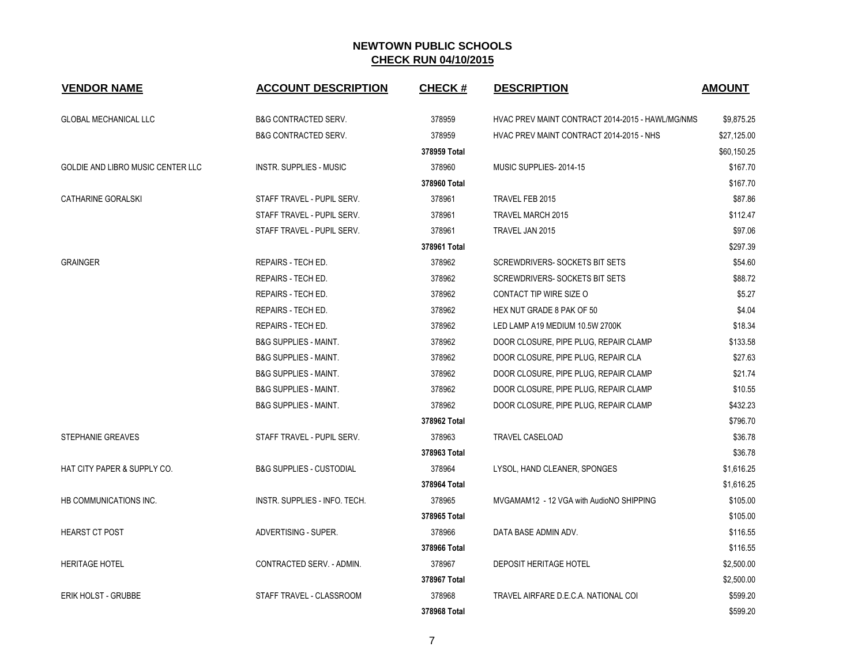| <b>VENDOR NAME</b>                | <b>ACCOUNT DESCRIPTION</b>          | <b>CHECK#</b> | <b>DESCRIPTION</b>                               | <b>AMOUNT</b> |
|-----------------------------------|-------------------------------------|---------------|--------------------------------------------------|---------------|
| <b>GLOBAL MECHANICAL LLC</b>      | <b>B&amp;G CONTRACTED SERV.</b>     | 378959        | HVAC PREV MAINT CONTRACT 2014-2015 - HAWL/MG/NMS | \$9,875.25    |
|                                   | <b>B&amp;G CONTRACTED SERV.</b>     | 378959        | HVAC PREV MAINT CONTRACT 2014-2015 - NHS         | \$27,125.00   |
|                                   |                                     | 378959 Total  |                                                  | \$60,150.25   |
| GOLDIE AND LIBRO MUSIC CENTER LLC | <b>INSTR. SUPPLIES - MUSIC</b>      | 378960        | MUSIC SUPPLIES-2014-15                           | \$167.70      |
|                                   |                                     | 378960 Total  |                                                  | \$167.70      |
| <b>CATHARINE GORALSKI</b>         | STAFF TRAVEL - PUPIL SERV.          | 378961        | TRAVEL FEB 2015                                  | \$87.86       |
|                                   | STAFF TRAVEL - PUPIL SERV.          | 378961        | <b>TRAVEL MARCH 2015</b>                         | \$112.47      |
|                                   | STAFF TRAVEL - PUPIL SERV.          | 378961        | TRAVEL JAN 2015                                  | \$97.06       |
|                                   |                                     | 378961 Total  |                                                  | \$297.39      |
| <b>GRAINGER</b>                   | REPAIRS - TECH ED.                  | 378962        | SCREWDRIVERS-SOCKETS BIT SETS                    | \$54.60       |
|                                   | <b>REPAIRS - TECH ED.</b>           | 378962        | SCREWDRIVERS-SOCKETS BIT SETS                    | \$88.72       |
|                                   | REPAIRS - TECH ED.                  | 378962        | CONTACT TIP WIRE SIZE O                          | \$5.27        |
|                                   | REPAIRS - TECH ED.                  | 378962        | HEX NUT GRADE 8 PAK OF 50                        | \$4.04        |
|                                   | REPAIRS - TECH ED.                  | 378962        | LED LAMP A19 MEDIUM 10.5W 2700K                  | \$18.34       |
|                                   | <b>B&amp;G SUPPLIES - MAINT.</b>    | 378962        | DOOR CLOSURE, PIPE PLUG, REPAIR CLAMP            | \$133.58      |
|                                   | <b>B&amp;G SUPPLIES - MAINT.</b>    | 378962        | DOOR CLOSURE, PIPE PLUG, REPAIR CLA              | \$27.63       |
|                                   | <b>B&amp;G SUPPLIES - MAINT.</b>    | 378962        | DOOR CLOSURE, PIPE PLUG, REPAIR CLAMP            | \$21.74       |
|                                   | B&G SUPPLIES - MAINT.               | 378962        | DOOR CLOSURE, PIPE PLUG, REPAIR CLAMP            | \$10.55       |
|                                   | <b>B&amp;G SUPPLIES - MAINT.</b>    | 378962        | DOOR CLOSURE, PIPE PLUG, REPAIR CLAMP            | \$432.23      |
|                                   |                                     | 378962 Total  |                                                  | \$796.70      |
| <b>STEPHANIE GREAVES</b>          | STAFF TRAVEL - PUPIL SERV.          | 378963        | <b>TRAVEL CASELOAD</b>                           | \$36.78       |
|                                   |                                     | 378963 Total  |                                                  | \$36.78       |
| HAT CITY PAPER & SUPPLY CO.       | <b>B&amp;G SUPPLIES - CUSTODIAL</b> | 378964        | LYSOL, HAND CLEANER, SPONGES                     | \$1,616.25    |
|                                   |                                     | 378964 Total  |                                                  | \$1,616.25    |
| HB COMMUNICATIONS INC.            | INSTR. SUPPLIES - INFO. TECH.       | 378965        | MVGAMAM12 - 12 VGA with AudioNO SHIPPING         | \$105.00      |
|                                   |                                     | 378965 Total  |                                                  | \$105.00      |
| <b>HEARST CT POST</b>             | ADVERTISING - SUPER.                | 378966        | DATA BASE ADMIN ADV.                             | \$116.55      |
|                                   |                                     | 378966 Total  |                                                  | \$116.55      |
| <b>HERITAGE HOTEL</b>             | CONTRACTED SERV. - ADMIN.           | 378967        | <b>DEPOSIT HERITAGE HOTEL</b>                    | \$2,500.00    |
|                                   |                                     | 378967 Total  |                                                  | \$2,500.00    |
| <b>ERIK HOLST - GRUBBE</b>        | STAFF TRAVEL - CLASSROOM            | 378968        | TRAVEL AIRFARE D.E.C.A. NATIONAL COI             | \$599.20      |
|                                   |                                     | 378968 Total  |                                                  | \$599.20      |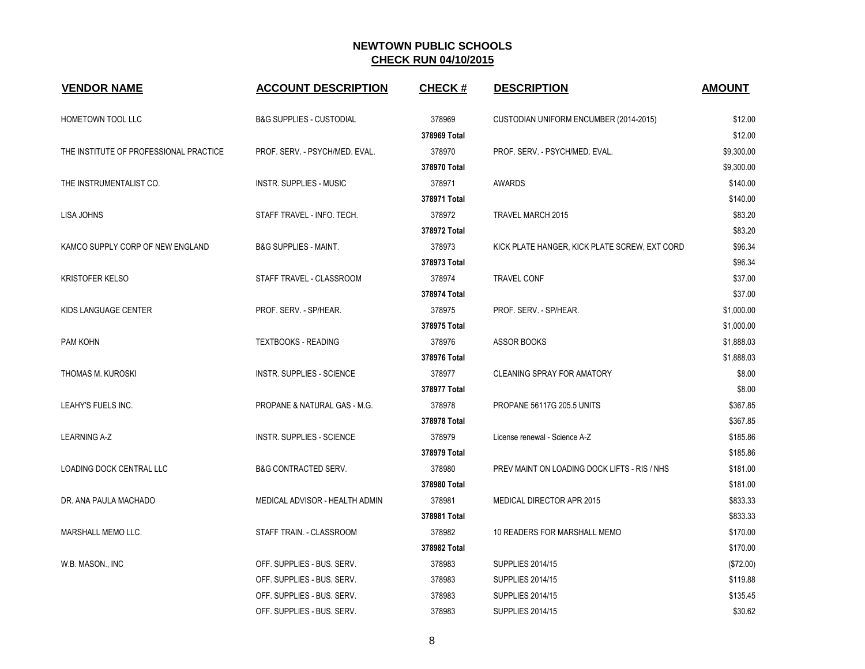| <b>VENDOR NAME</b>                     | <b>ACCOUNT DESCRIPTION</b>          | <b>CHECK#</b> | <b>DESCRIPTION</b>                            | <b>AMOUNT</b> |
|----------------------------------------|-------------------------------------|---------------|-----------------------------------------------|---------------|
| HOMETOWN TOOL LLC                      | <b>B&amp;G SUPPLIES - CUSTODIAL</b> | 378969        | CUSTODIAN UNIFORM ENCUMBER (2014-2015)        | \$12.00       |
|                                        |                                     | 378969 Total  |                                               | \$12.00       |
| THE INSTITUTE OF PROFESSIONAL PRACTICE | PROF. SERV. - PSYCH/MED. EVAL.      | 378970        | PROF. SERV. - PSYCH/MED. EVAL.                | \$9,300.00    |
|                                        |                                     | 378970 Total  |                                               | \$9,300.00    |
| THE INSTRUMENTALIST CO.                | <b>INSTR. SUPPLIES - MUSIC</b>      | 378971        | <b>AWARDS</b>                                 | \$140.00      |
|                                        |                                     | 378971 Total  |                                               | \$140.00      |
| <b>LISA JOHNS</b>                      | STAFF TRAVEL - INFO. TECH.          | 378972        | TRAVEL MARCH 2015                             | \$83.20       |
|                                        |                                     | 378972 Total  |                                               | \$83.20       |
| KAMCO SUPPLY CORP OF NEW ENGLAND       | <b>B&amp;G SUPPLIES - MAINT.</b>    | 378973        | KICK PLATE HANGER, KICK PLATE SCREW, EXT CORD | \$96.34       |
|                                        |                                     | 378973 Total  |                                               | \$96.34       |
| <b>KRISTOFER KELSO</b>                 | STAFF TRAVEL - CLASSROOM            | 378974        | <b>TRAVEL CONF</b>                            | \$37.00       |
|                                        |                                     | 378974 Total  |                                               | \$37.00       |
| KIDS LANGUAGE CENTER                   | PROF. SERV. - SP/HEAR.              | 378975        | PROF. SERV. - SP/HEAR.                        | \$1,000.00    |
|                                        |                                     | 378975 Total  |                                               | \$1,000.00    |
| PAM KOHN                               | <b>TEXTBOOKS - READING</b>          | 378976        | ASSOR BOOKS                                   | \$1,888.03    |
|                                        |                                     | 378976 Total  |                                               | \$1,888.03    |
| THOMAS M. KUROSKI                      | <b>INSTR. SUPPLIES - SCIENCE</b>    | 378977        | <b>CLEANING SPRAY FOR AMATORY</b>             | \$8.00        |
|                                        |                                     | 378977 Total  |                                               | \$8.00        |
| LEAHY'S FUELS INC.                     | PROPANE & NATURAL GAS - M.G.        | 378978        | PROPANE 56117G 205.5 UNITS                    | \$367.85      |
|                                        |                                     | 378978 Total  |                                               | \$367.85      |
| <b>LEARNING A-Z</b>                    | <b>INSTR. SUPPLIES - SCIENCE</b>    | 378979        | License renewal - Science A-Z                 | \$185.86      |
|                                        |                                     | 378979 Total  |                                               | \$185.86      |
| LOADING DOCK CENTRAL LLC               | <b>B&amp;G CONTRACTED SERV.</b>     | 378980        | PREV MAINT ON LOADING DOCK LIFTS - RIS / NHS  | \$181.00      |
|                                        |                                     | 378980 Total  |                                               | \$181.00      |
| DR. ANA PAULA MACHADO                  | MEDICAL ADVISOR - HEALTH ADMIN      | 378981        | MEDICAL DIRECTOR APR 2015                     | \$833.33      |
|                                        |                                     | 378981 Total  |                                               | \$833.33      |
| MARSHALL MEMO LLC.                     | STAFF TRAIN. - CLASSROOM            | 378982        | 10 READERS FOR MARSHALL MEMO                  | \$170.00      |
|                                        |                                     | 378982 Total  |                                               | \$170.00      |
| W.B. MASON., INC                       | OFF. SUPPLIES - BUS. SERV.          | 378983        | <b>SUPPLIES 2014/15</b>                       | (\$72.00)     |
|                                        | OFF. SUPPLIES - BUS. SERV.          | 378983        | <b>SUPPLIES 2014/15</b>                       | \$119.88      |
|                                        | OFF. SUPPLIES - BUS. SERV.          | 378983        | <b>SUPPLIES 2014/15</b>                       | \$135.45      |
|                                        | OFF. SUPPLIES - BUS. SERV.          | 378983        | <b>SUPPLIES 2014/15</b>                       | \$30.62       |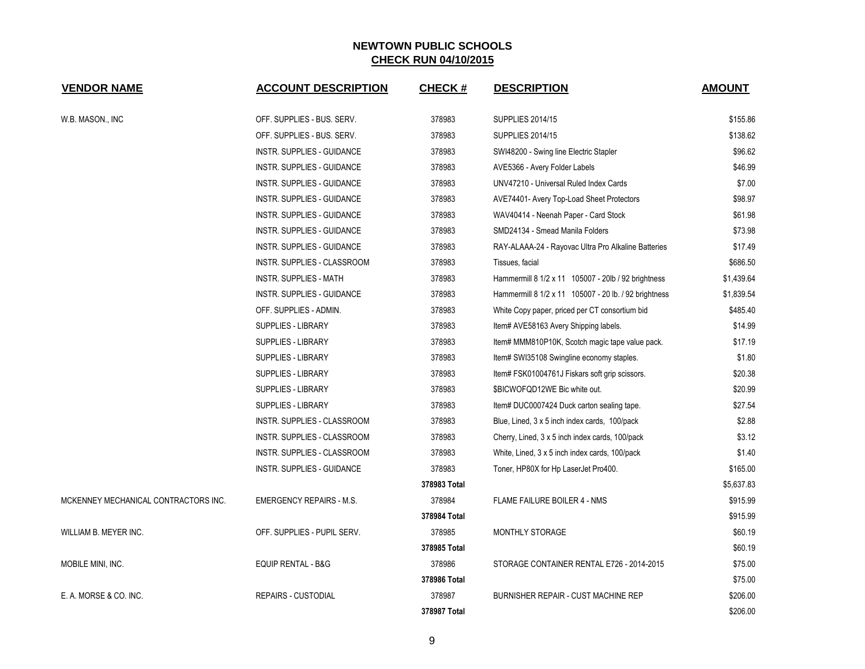| <b>VENDOR NAME</b>                   | <b>ACCOUNT DESCRIPTION</b>        | <b>CHECK#</b> | <b>DESCRIPTION</b>                                    | <b>AMOUNT</b> |
|--------------------------------------|-----------------------------------|---------------|-------------------------------------------------------|---------------|
| W.B. MASON., INC                     | OFF. SUPPLIES - BUS. SERV.        | 378983        | <b>SUPPLIES 2014/15</b>                               | \$155.86      |
|                                      | OFF. SUPPLIES - BUS. SERV.        | 378983        | <b>SUPPLIES 2014/15</b>                               | \$138.62      |
|                                      | INSTR. SUPPLIES - GUIDANCE        | 378983        | SWI48200 - Swing line Electric Stapler                | \$96.62       |
|                                      | <b>INSTR. SUPPLIES - GUIDANCE</b> | 378983        | AVE5366 - Avery Folder Labels                         | \$46.99       |
|                                      | INSTR. SUPPLIES - GUIDANCE        | 378983        | UNV47210 - Universal Ruled Index Cards                | \$7.00        |
|                                      | <b>INSTR. SUPPLIES - GUIDANCE</b> | 378983        | AVE74401- Avery Top-Load Sheet Protectors             | \$98.97       |
|                                      | <b>INSTR. SUPPLIES - GUIDANCE</b> | 378983        | WAV40414 - Neenah Paper - Card Stock                  | \$61.98       |
|                                      | <b>INSTR. SUPPLIES - GUIDANCE</b> | 378983        | SMD24134 - Smead Manila Folders                       | \$73.98       |
|                                      | <b>INSTR. SUPPLIES - GUIDANCE</b> | 378983        | RAY-ALAAA-24 - Rayovac Ultra Pro Alkaline Batteries   | \$17.49       |
|                                      | INSTR. SUPPLIES - CLASSROOM       | 378983        | Tissues, facial                                       | \$686.50      |
|                                      | <b>INSTR. SUPPLIES - MATH</b>     | 378983        | Hammermill 8 1/2 x 11 105007 - 20lb / 92 brightness   | \$1,439.64    |
|                                      | INSTR. SUPPLIES - GUIDANCE        | 378983        | Hammermill 8 1/2 x 11 105007 - 20 lb. / 92 brightness | \$1,839.54    |
|                                      | OFF. SUPPLIES - ADMIN.            | 378983        | White Copy paper, priced per CT consortium bid        | \$485.40      |
|                                      | <b>SUPPLIES - LIBRARY</b>         | 378983        | Item# AVE58163 Avery Shipping labels.                 | \$14.99       |
|                                      | SUPPLIES - LIBRARY                | 378983        | Item# MMM810P10K, Scotch magic tape value pack.       | \$17.19       |
|                                      | <b>SUPPLIES - LIBRARY</b>         | 378983        | Item# SWI35108 Swingline economy staples.             | \$1.80        |
|                                      | <b>SUPPLIES - LIBRARY</b>         | 378983        | Item# FSK01004761J Fiskars soft grip scissors.        | \$20.38       |
|                                      | SUPPLIES - LIBRARY                | 378983        | \$BICWOFQD12WE Bic white out.                         | \$20.99       |
|                                      | <b>SUPPLIES - LIBRARY</b>         | 378983        | Item# DUC0007424 Duck carton sealing tape.            | \$27.54       |
|                                      | INSTR. SUPPLIES - CLASSROOM       | 378983        | Blue, Lined, 3 x 5 inch index cards, 100/pack         | \$2.88        |
|                                      | INSTR. SUPPLIES - CLASSROOM       | 378983        | Cherry, Lined, 3 x 5 inch index cards, 100/pack       | \$3.12        |
|                                      | INSTR. SUPPLIES - CLASSROOM       | 378983        | White, Lined, 3 x 5 inch index cards, 100/pack        | \$1.40        |
|                                      | INSTR. SUPPLIES - GUIDANCE        | 378983        | Toner, HP80X for Hp LaserJet Pro400.                  | \$165.00      |
|                                      |                                   | 378983 Total  |                                                       | \$5,637.83    |
| MCKENNEY MECHANICAL CONTRACTORS INC. | <b>EMERGENCY REPAIRS - M.S.</b>   | 378984        | FLAME FAILURE BOILER 4 - NMS                          | \$915.99      |
|                                      |                                   | 378984 Total  |                                                       | \$915.99      |
| WILLIAM B. MEYER INC.                | OFF. SUPPLIES - PUPIL SERV.       | 378985        | MONTHLY STORAGE                                       | \$60.19       |
|                                      |                                   | 378985 Total  |                                                       | \$60.19       |
| MOBILE MINI, INC.                    | <b>EQUIP RENTAL - B&amp;G</b>     | 378986        | STORAGE CONTAINER RENTAL E726 - 2014-2015             | \$75.00       |
|                                      |                                   | 378986 Total  |                                                       | \$75.00       |
| E. A. MORSE & CO. INC.               | <b>REPAIRS - CUSTODIAL</b>        | 378987        | BURNISHER REPAIR - CUST MACHINE REP                   | \$206.00      |
|                                      |                                   | 378987 Total  |                                                       | \$206.00      |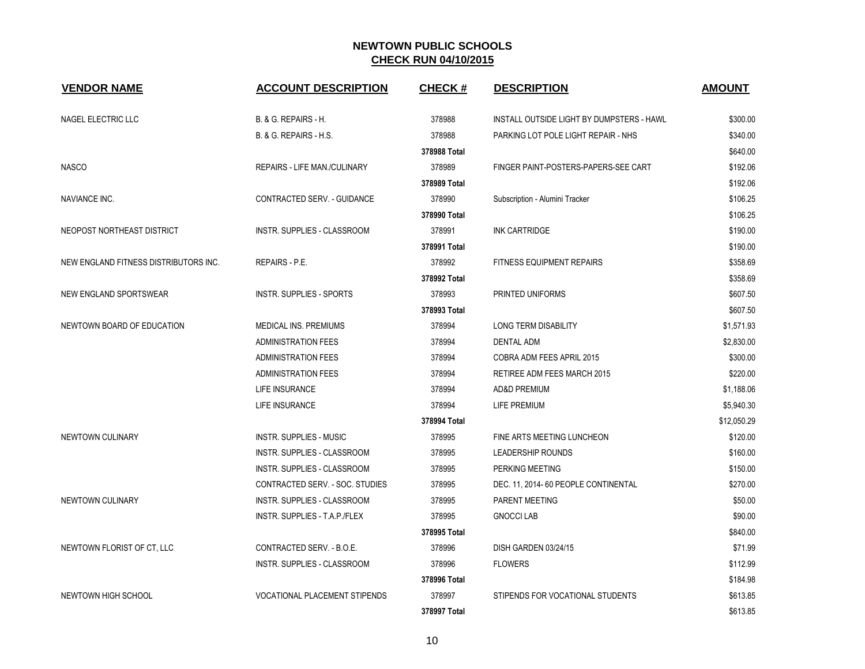| <b>VENDOR NAME</b>                    | <b>ACCOUNT DESCRIPTION</b>           | CHECK #      | <b>DESCRIPTION</b>                        | <b>AMOUNT</b> |
|---------------------------------------|--------------------------------------|--------------|-------------------------------------------|---------------|
| NAGEL ELECTRIC LLC                    | B. & G. REPAIRS - H.                 | 378988       | INSTALL OUTSIDE LIGHT BY DUMPSTERS - HAWL | \$300.00      |
|                                       | <b>B. &amp; G. REPAIRS - H.S.</b>    | 378988       | PARKING LOT POLE LIGHT REPAIR - NHS       | \$340.00      |
|                                       |                                      | 378988 Total |                                           | \$640.00      |
| <b>NASCO</b>                          | <b>REPAIRS - LIFE MAN /CULINARY</b>  | 378989       | FINGER PAINT-POSTERS-PAPERS-SEE CART      | \$192.06      |
|                                       |                                      | 378989 Total |                                           | \$192.06      |
| NAVIANCE INC.                         | CONTRACTED SERV. - GUIDANCE          | 378990       | Subscription - Alumini Tracker            | \$106.25      |
|                                       |                                      | 378990 Total |                                           | \$106.25      |
| NEOPOST NORTHEAST DISTRICT            | INSTR. SUPPLIES - CLASSROOM          | 378991       | <b>INK CARTRIDGE</b>                      | \$190.00      |
|                                       |                                      | 378991 Total |                                           | \$190.00      |
| NEW ENGLAND FITNESS DISTRIBUTORS INC. | REPAIRS - P.E.                       | 378992       | FITNESS EQUIPMENT REPAIRS                 | \$358.69      |
|                                       |                                      | 378992 Total |                                           | \$358.69      |
| NEW ENGLAND SPORTSWEAR                | <b>INSTR. SUPPLIES - SPORTS</b>      | 378993       | PRINTED UNIFORMS                          | \$607.50      |
|                                       |                                      | 378993 Total |                                           | \$607.50      |
| NEWTOWN BOARD OF EDUCATION            | <b>MEDICAL INS. PREMIUMS</b>         | 378994       | <b>LONG TERM DISABILITY</b>               | \$1,571.93    |
|                                       | <b>ADMINISTRATION FEES</b>           | 378994       | <b>DENTAL ADM</b>                         | \$2,830.00    |
|                                       | <b>ADMINISTRATION FEES</b>           | 378994       | COBRA ADM FEES APRIL 2015                 | \$300.00      |
|                                       | <b>ADMINISTRATION FEES</b>           | 378994       | RETIREE ADM FEES MARCH 2015               | \$220.00      |
|                                       | LIFE INSURANCE                       | 378994       | AD&D PREMIUM                              | \$1,188.06    |
|                                       | LIFE INSURANCE                       | 378994       | LIFE PREMIUM                              | \$5,940.30    |
|                                       |                                      | 378994 Total |                                           | \$12,050.29   |
| NEWTOWN CULINARY                      | INSTR. SUPPLIES - MUSIC              | 378995       | FINE ARTS MEETING LUNCHEON                | \$120.00      |
|                                       | INSTR. SUPPLIES - CLASSROOM          | 378995       | LEADERSHIP ROUNDS                         | \$160.00      |
|                                       | INSTR. SUPPLIES - CLASSROOM          | 378995       | PERKING MEETING                           | \$150.00      |
|                                       | CONTRACTED SERV. - SOC. STUDIES      | 378995       | DEC. 11, 2014- 60 PEOPLE CONTINENTAL      | \$270.00      |
| NEWTOWN CULINARY                      | INSTR. SUPPLIES - CLASSROOM          | 378995       | PARENT MEETING                            | \$50.00       |
|                                       | INSTR. SUPPLIES - T.A.P./FLEX        | 378995       | <b>GNOCCI LAB</b>                         | \$90.00       |
|                                       |                                      | 378995 Total |                                           | \$840.00      |
| NEWTOWN FLORIST OF CT, LLC            | CONTRACTED SERV. - B.O.E.            | 378996       | DISH GARDEN 03/24/15                      | \$71.99       |
|                                       | <b>INSTR. SUPPLIES - CLASSROOM</b>   | 378996       | <b>FLOWERS</b>                            | \$112.99      |
|                                       |                                      | 378996 Total |                                           | \$184.98      |
| NEWTOWN HIGH SCHOOL                   | <b>VOCATIONAL PLACEMENT STIPENDS</b> | 378997       | STIPENDS FOR VOCATIONAL STUDENTS          | \$613.85      |
|                                       |                                      | 378997 Total |                                           | \$613.85      |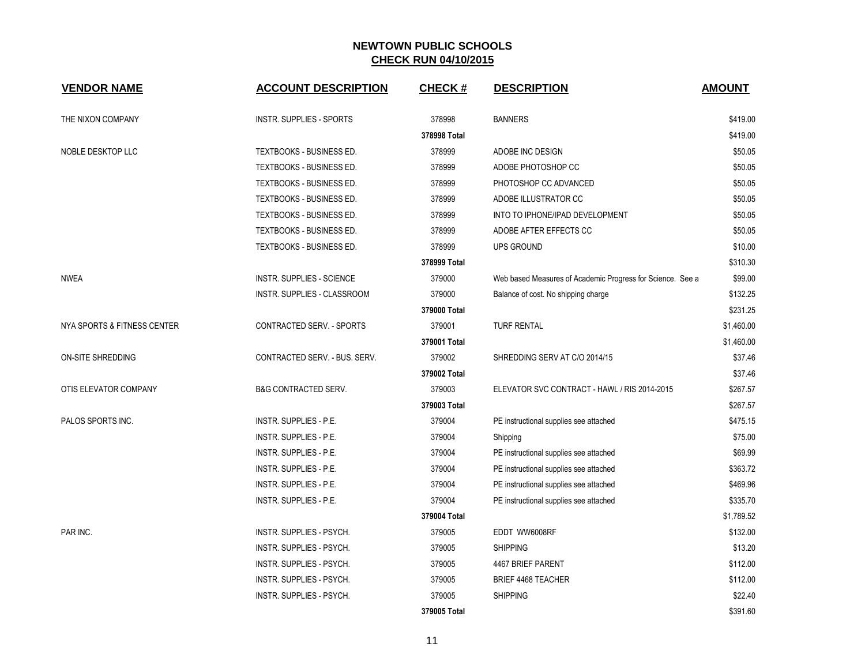| <b>VENDOR NAME</b>          | <b>ACCOUNT DESCRIPTION</b>       | <b>CHECK#</b> | <b>DESCRIPTION</b>                                         | <b>AMOUNT</b> |
|-----------------------------|----------------------------------|---------------|------------------------------------------------------------|---------------|
| THE NIXON COMPANY           | <b>INSTR. SUPPLIES - SPORTS</b>  | 378998        | <b>BANNERS</b>                                             | \$419.00      |
|                             |                                  | 378998 Total  |                                                            | \$419.00      |
| NOBLE DESKTOP LLC           | TEXTBOOKS - BUSINESS ED.         | 378999        | ADOBE INC DESIGN                                           | \$50.05       |
|                             | TEXTBOOKS - BUSINESS ED.         | 378999        | ADOBE PHOTOSHOP CC                                         | \$50.05       |
|                             | TEXTBOOKS - BUSINESS ED.         | 378999        | PHOTOSHOP CC ADVANCED                                      | \$50.05       |
|                             | TEXTBOOKS - BUSINESS ED.         | 378999        | ADOBE ILLUSTRATOR CC                                       | \$50.05       |
|                             | TEXTBOOKS - BUSINESS ED.         | 378999        | INTO TO IPHONE/IPAD DEVELOPMENT                            | \$50.05       |
|                             | TEXTBOOKS - BUSINESS ED.         | 378999        | ADOBE AFTER EFFECTS CC                                     | \$50.05       |
|                             | TEXTBOOKS - BUSINESS ED.         | 378999        | <b>UPS GROUND</b>                                          | \$10.00       |
|                             |                                  | 378999 Total  |                                                            | \$310.30      |
| <b>NWEA</b>                 | <b>INSTR. SUPPLIES - SCIENCE</b> | 379000        | Web based Measures of Academic Progress for Science. See a | \$99.00       |
|                             | INSTR. SUPPLIES - CLASSROOM      | 379000        | Balance of cost. No shipping charge                        | \$132.25      |
|                             |                                  | 379000 Total  |                                                            | \$231.25      |
| NYA SPORTS & FITNESS CENTER | CONTRACTED SERV. - SPORTS        | 379001        | <b>TURF RENTAL</b>                                         | \$1,460.00    |
|                             |                                  | 379001 Total  |                                                            | \$1,460.00    |
| ON-SITE SHREDDING           | CONTRACTED SERV. - BUS. SERV.    | 379002        | SHREDDING SERV AT C/O 2014/15                              | \$37.46       |
|                             |                                  | 379002 Total  |                                                            | \$37.46       |
| OTIS ELEVATOR COMPANY       | <b>B&amp;G CONTRACTED SERV.</b>  | 379003        | ELEVATOR SVC CONTRACT - HAWL / RIS 2014-2015               | \$267.57      |
|                             |                                  | 379003 Total  |                                                            | \$267.57      |
| PALOS SPORTS INC.           | INSTR. SUPPLIES - P.E.           | 379004        | PE instructional supplies see attached                     | \$475.15      |
|                             | INSTR. SUPPLIES - P.E.           | 379004        | Shipping                                                   | \$75.00       |
|                             | INSTR. SUPPLIES - P.E.           | 379004        | PE instructional supplies see attached                     | \$69.99       |
|                             | INSTR. SUPPLIES - P.E.           | 379004        | PE instructional supplies see attached                     | \$363.72      |
|                             | INSTR. SUPPLIES - P.E.           | 379004        | PE instructional supplies see attached                     | \$469.96      |
|                             | INSTR. SUPPLIES - P.E.           | 379004        | PE instructional supplies see attached                     | \$335.70      |
|                             |                                  | 379004 Total  |                                                            | \$1,789.52    |
| PAR INC.                    | INSTR. SUPPLIES - PSYCH.         | 379005        | EDDT WW6008RF                                              | \$132.00      |
|                             | INSTR. SUPPLIES - PSYCH.         | 379005        | <b>SHIPPING</b>                                            | \$13.20       |
|                             | INSTR. SUPPLIES - PSYCH.         | 379005        | 4467 BRIEF PARENT                                          | \$112.00      |
|                             | INSTR. SUPPLIES - PSYCH.         | 379005        | <b>BRIEF 4468 TEACHER</b>                                  | \$112.00      |
|                             | INSTR. SUPPLIES - PSYCH.         | 379005        | <b>SHIPPING</b>                                            | \$22.40       |
|                             |                                  | 379005 Total  |                                                            | \$391.60      |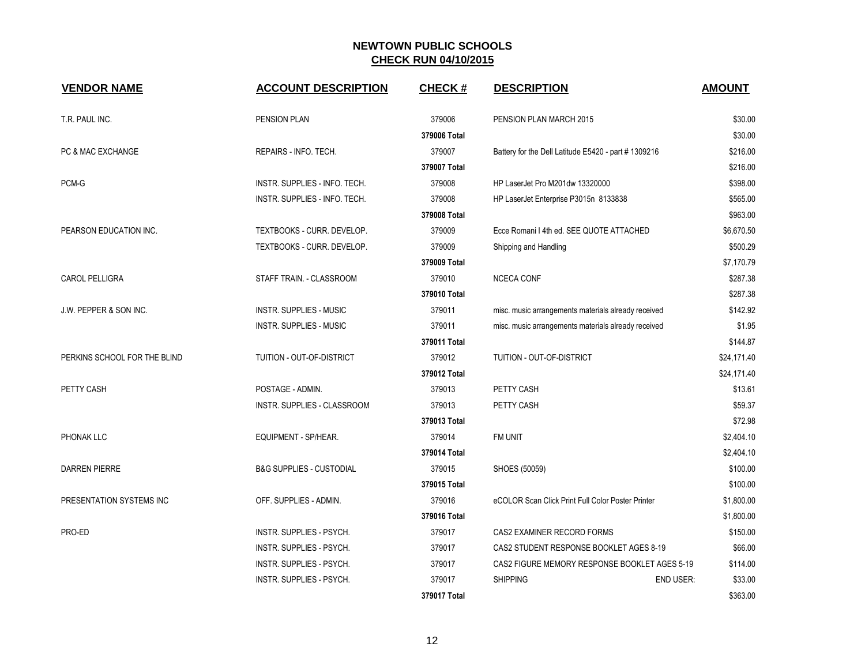| <b>VENDOR NAME</b>           | <b>ACCOUNT DESCRIPTION</b>          | <b>CHECK#</b> | <b>DESCRIPTION</b>                                  | <b>AMOUNT</b> |
|------------------------------|-------------------------------------|---------------|-----------------------------------------------------|---------------|
| T.R. PAUL INC.               | PENSION PLAN                        | 379006        | PENSION PLAN MARCH 2015                             | \$30.00       |
|                              |                                     | 379006 Total  |                                                     | \$30.00       |
| PC & MAC EXCHANGE            | REPAIRS - INFO. TECH.               | 379007        | Battery for the Dell Latitude E5420 - part #1309216 | \$216.00      |
|                              |                                     | 379007 Total  |                                                     | \$216.00      |
| $PCM-G$                      | INSTR. SUPPLIES - INFO. TECH.       | 379008        | HP LaserJet Pro M201dw 13320000                     | \$398.00      |
|                              | INSTR. SUPPLIES - INFO. TECH.       | 379008        | HP LaserJet Enterprise P3015n 8133838               | \$565.00      |
|                              |                                     | 379008 Total  |                                                     | \$963.00      |
| PEARSON EDUCATION INC.       | TEXTBOOKS - CURR. DEVELOP.          | 379009        | Ecce Romani I 4th ed. SEE QUOTE ATTACHED            | \$6,670.50    |
|                              | TEXTBOOKS - CURR. DEVELOP.          | 379009        | Shipping and Handling                               | \$500.29      |
|                              |                                     | 379009 Total  |                                                     | \$7,170.79    |
| <b>CAROL PELLIGRA</b>        | STAFF TRAIN. - CLASSROOM            | 379010        | <b>NCECA CONF</b>                                   | \$287.38      |
|                              |                                     | 379010 Total  |                                                     | \$287.38      |
| J.W. PEPPER & SON INC.       | <b>INSTR. SUPPLIES - MUSIC</b>      | 379011        | misc. music arrangements materials already received | \$142.92      |
|                              | INSTR. SUPPLIES - MUSIC             | 379011        | misc. music arrangements materials already received | \$1.95        |
|                              |                                     | 379011 Total  |                                                     | \$144.87      |
| PERKINS SCHOOL FOR THE BLIND | TUITION - OUT-OF-DISTRICT           | 379012        | TUITION - OUT-OF-DISTRICT                           | \$24,171.40   |
|                              |                                     | 379012 Total  |                                                     | \$24,171.40   |
| PETTY CASH                   | POSTAGE - ADMIN.                    | 379013        | PETTY CASH                                          | \$13.61       |
|                              | INSTR. SUPPLIES - CLASSROOM         | 379013        | PETTY CASH                                          | \$59.37       |
|                              |                                     | 379013 Total  |                                                     | \$72.98       |
| PHONAK LLC                   | EQUIPMENT - SP/HEAR.                | 379014        | FM UNIT                                             | \$2,404.10    |
|                              |                                     | 379014 Total  |                                                     | \$2,404.10    |
| <b>DARREN PIERRE</b>         | <b>B&amp;G SUPPLIES - CUSTODIAL</b> | 379015        | SHOES (50059)                                       | \$100.00      |
|                              |                                     | 379015 Total  |                                                     | \$100.00      |
| PRESENTATION SYSTEMS INC     | OFF. SUPPLIES - ADMIN.              | 379016        | eCOLOR Scan Click Print Full Color Poster Printer   | \$1,800.00    |
|                              |                                     | 379016 Total  |                                                     | \$1,800.00    |
| PRO-ED                       | <b>INSTR. SUPPLIES - PSYCH.</b>     | 379017        | CAS2 EXAMINER RECORD FORMS                          | \$150.00      |
|                              | INSTR. SUPPLIES - PSYCH.            | 379017        | CAS2 STUDENT RESPONSE BOOKLET AGES 8-19             | \$66.00       |
|                              | INSTR. SUPPLIES - PSYCH.            | 379017        | CAS2 FIGURE MEMORY RESPONSE BOOKLET AGES 5-19       | \$114.00      |
|                              | INSTR. SUPPLIES - PSYCH.            | 379017        | <b>SHIPPING</b><br><b>END USER:</b>                 | \$33.00       |
|                              |                                     | 379017 Total  |                                                     | \$363.00      |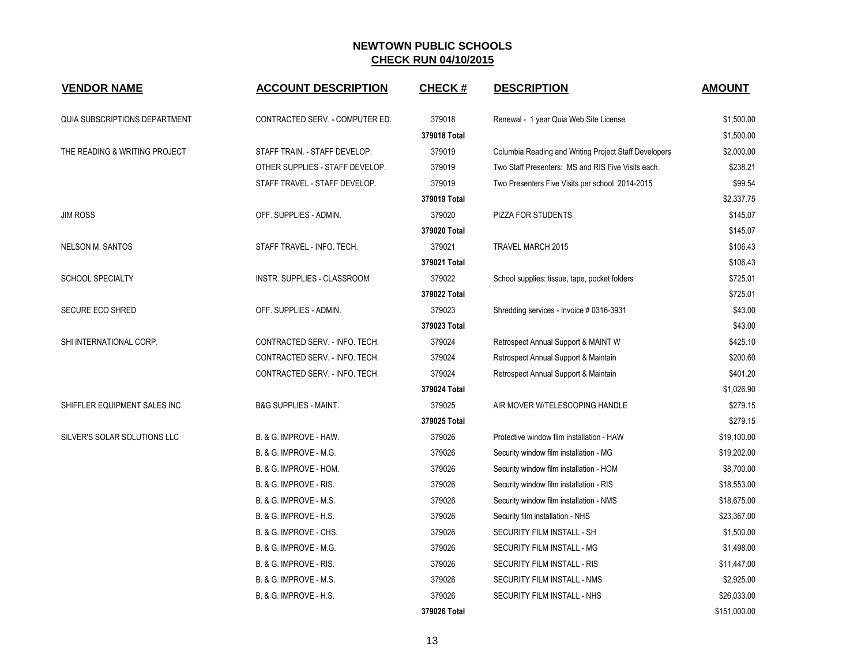| <b>VENDOR NAME</b>                   | <b>ACCOUNT DESCRIPTION</b>        | <b>CHECK#</b> | <b>DESCRIPTION</b>                                    | <b>AMOUNT</b> |
|--------------------------------------|-----------------------------------|---------------|-------------------------------------------------------|---------------|
| <b>QUIA SUBSCRIPTIONS DEPARTMENT</b> | CONTRACTED SERV. - COMPUTER ED.   | 379018        | Renewal - 1 year Quia Web Site License                | \$1,500.00    |
|                                      |                                   | 379018 Total  |                                                       | \$1,500.00    |
| THE READING & WRITING PROJECT        | STAFF TRAIN. - STAFF DEVELOP.     | 379019        | Columbia Reading and Writing Project Staff Developers | \$2,000.00    |
|                                      | OTHER SUPPLIES - STAFF DEVELOP.   | 379019        | Two Staff Presenters: MS and RIS Five Visits each.    | \$238.21      |
|                                      | STAFF TRAVEL - STAFF DEVELOP.     | 379019        | Two Presenters Five Visits per school 2014-2015       | \$99.54       |
|                                      |                                   | 379019 Total  |                                                       | \$2.337.75    |
| <b>JIM ROSS</b>                      | OFF. SUPPLIES - ADMIN.            | 379020        | PIZZA FOR STUDENTS                                    | \$145.07      |
|                                      |                                   | 379020 Total  |                                                       | \$145.07      |
| <b>NELSON M. SANTOS</b>              | STAFF TRAVEL - INFO. TECH.        | 379021        | TRAVEL MARCH 2015                                     | \$106.43      |
|                                      |                                   | 379021 Total  |                                                       | \$106.43      |
| <b>SCHOOL SPECIALTY</b>              | INSTR. SUPPLIES - CLASSROOM       | 379022        | School supplies: tissue, tape, pocket folders         | \$725.01      |
|                                      |                                   | 379022 Total  |                                                       | \$725.01      |
| <b>SECURE ECO SHRED</b>              | OFF. SUPPLIES - ADMIN.            | 379023        | Shredding services - Invoice # 0316-3931              | \$43.00       |
|                                      |                                   | 379023 Total  |                                                       | \$43.00       |
| SHI INTERNATIONAL CORP.              | CONTRACTED SERV. - INFO. TECH.    | 379024        | Retrospect Annual Support & MAINT W                   | \$425.10      |
|                                      | CONTRACTED SERV. - INFO. TECH.    | 379024        | Retrospect Annual Support & Maintain                  | \$200.60      |
|                                      | CONTRACTED SERV. - INFO. TECH.    | 379024        | Retrospect Annual Support & Maintain                  | \$401.20      |
|                                      |                                   | 379024 Total  |                                                       | \$1,026.90    |
| SHIFFLER EQUIPMENT SALES INC.        | <b>B&amp;G SUPPLIES - MAINT.</b>  | 379025        | AIR MOVER W/TELESCOPING HANDLE                        | \$279.15      |
|                                      |                                   | 379025 Total  |                                                       | \$279.15      |
| SILVER'S SOLAR SOLUTIONS LLC         | B. & G. IMPROVE - HAW.            | 379026        | Protective window film installation - HAW             | \$19,100.00   |
|                                      | B. & G. IMPROVE - M.G.            | 379026        | Security window film installation - MG                | \$19,202.00   |
|                                      | B. & G. IMPROVE - HOM.            | 379026        | Security window film installation - HOM               | \$8,700.00    |
|                                      | B. & G. IMPROVE - RIS.            | 379026        | Security window film installation - RIS               | \$18,553.00   |
|                                      | <b>B. &amp; G. IMPROVE - M.S.</b> | 379026        | Security window film installation - NMS               | \$18,675.00   |
|                                      | B. & G. IMPROVE - H.S.            | 379026        | Security film installation - NHS                      | \$23,367.00   |
|                                      | B. & G. IMPROVE - CHS.            | 379026        | SECURITY FILM INSTALL - SH                            | \$1,500.00    |
|                                      | B. & G. IMPROVE - M.G.            | 379026        | SECURITY FILM INSTALL - MG                            | \$1,498.00    |
|                                      | B. & G. IMPROVE - RIS.            | 379026        | SECURITY FILM INSTALL - RIS                           | \$11,447.00   |
|                                      | B. & G. IMPROVE - M.S.            | 379026        | SECURITY FILM INSTALL - NMS                           | \$2,925.00    |
|                                      | B. & G. IMPROVE - H.S.            | 379026        | SECURITY FILM INSTALL - NHS                           | \$26,033.00   |
|                                      |                                   | 379026 Total  |                                                       | \$151,000.00  |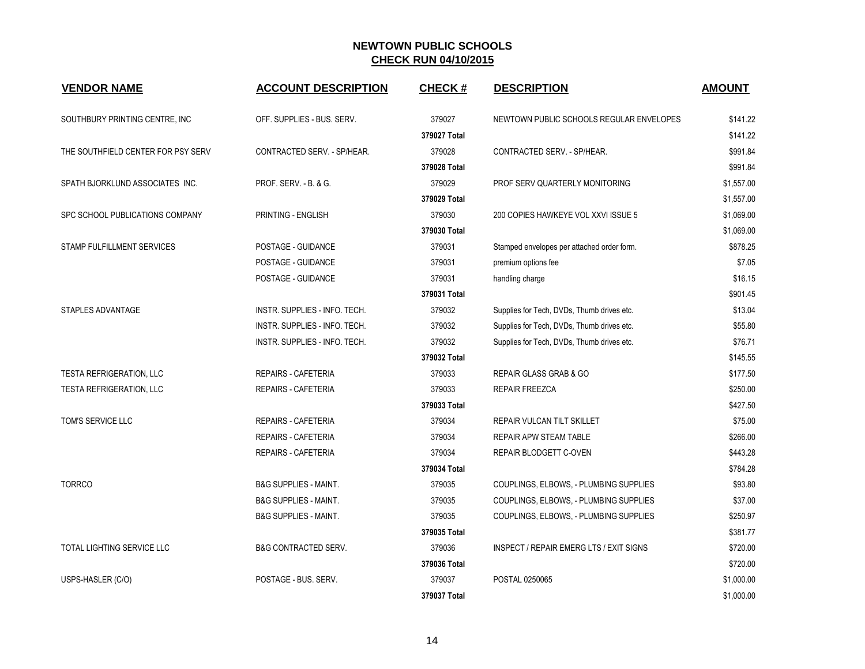| <b>VENDOR NAME</b>                 | <b>ACCOUNT DESCRIPTION</b>       | CHECK #      | <b>DESCRIPTION</b>                             | <b>AMOUNT</b> |
|------------------------------------|----------------------------------|--------------|------------------------------------------------|---------------|
| SOUTHBURY PRINTING CENTRE, INC.    | OFF. SUPPLIES - BUS. SERV.       | 379027       | NEWTOWN PUBLIC SCHOOLS REGULAR ENVELOPES       | \$141.22      |
|                                    |                                  | 379027 Total |                                                | \$141.22      |
| THE SOUTHFIELD CENTER FOR PSY SERV | CONTRACTED SERV. - SP/HEAR.      | 379028       | CONTRACTED SERV. - SP/HEAR.                    | \$991.84      |
|                                    |                                  | 379028 Total |                                                | \$991.84      |
| SPATH BJORKLUND ASSOCIATES INC.    | PROF. SERV. - B. & G.            | 379029       | PROF SERV QUARTERLY MONITORING                 | \$1,557.00    |
|                                    |                                  | 379029 Total |                                                | \$1,557.00    |
| SPC SCHOOL PUBLICATIONS COMPANY    | PRINTING - ENGLISH               | 379030       | 200 COPIES HAWKEYE VOL XXVI ISSUE 5            | \$1,069.00    |
|                                    |                                  | 379030 Total |                                                | \$1,069.00    |
| STAMP FULFILLMENT SERVICES         | POSTAGE - GUIDANCE               | 379031       | Stamped envelopes per attached order form.     | \$878.25      |
|                                    | POSTAGE - GUIDANCE               | 379031       | premium options fee                            | \$7.05        |
|                                    | POSTAGE - GUIDANCE               | 379031       | handling charge                                | \$16.15       |
|                                    |                                  | 379031 Total |                                                | \$901.45      |
| STAPLES ADVANTAGE                  | INSTR. SUPPLIES - INFO. TECH.    | 379032       | Supplies for Tech, DVDs, Thumb drives etc.     | \$13.04       |
|                                    | INSTR. SUPPLIES - INFO. TECH.    | 379032       | Supplies for Tech, DVDs, Thumb drives etc.     | \$55.80       |
|                                    | INSTR. SUPPLIES - INFO. TECH.    | 379032       | Supplies for Tech, DVDs, Thumb drives etc.     | \$76.71       |
|                                    |                                  | 379032 Total |                                                | \$145.55      |
| <b>TESTA REFRIGERATION, LLC</b>    | REPAIRS - CAFETERIA              | 379033       | <b>REPAIR GLASS GRAB &amp; GO</b>              | \$177.50      |
| <b>TESTA REFRIGERATION, LLC</b>    | REPAIRS - CAFETERIA              | 379033       | <b>REPAIR FREEZCA</b>                          | \$250.00      |
|                                    |                                  | 379033 Total |                                                | \$427.50      |
| TOM'S SERVICE LLC                  | REPAIRS - CAFETERIA              | 379034       | <b>REPAIR VULCAN TILT SKILLET</b>              | \$75.00       |
|                                    | <b>REPAIRS - CAFETERIA</b>       | 379034       | <b>REPAIR APW STEAM TABLE</b>                  | \$266.00      |
|                                    | REPAIRS - CAFETERIA              | 379034       | REPAIR BLODGETT C-OVEN                         | \$443.28      |
|                                    |                                  | 379034 Total |                                                | \$784.28      |
| <b>TORRCO</b>                      | <b>B&amp;G SUPPLIES - MAINT.</b> | 379035       | COUPLINGS, ELBOWS, - PLUMBING SUPPLIES         | \$93.80       |
|                                    | <b>B&amp;G SUPPLIES - MAINT.</b> | 379035       | COUPLINGS, ELBOWS, - PLUMBING SUPPLIES         | \$37.00       |
|                                    | <b>B&amp;G SUPPLIES - MAINT.</b> | 379035       | COUPLINGS, ELBOWS, - PLUMBING SUPPLIES         | \$250.97      |
|                                    |                                  | 379035 Total |                                                | \$381.77      |
| <b>TOTAL LIGHTING SERVICE LLC</b>  | <b>B&amp;G CONTRACTED SERV.</b>  | 379036       | <b>INSPECT / REPAIR EMERG LTS / EXIT SIGNS</b> | \$720.00      |
|                                    |                                  | 379036 Total |                                                | \$720.00      |
| USPS-HASLER (C/O)                  | POSTAGE - BUS, SERV.             | 379037       | POSTAL 0250065                                 | \$1,000.00    |
|                                    |                                  | 379037 Total |                                                | \$1,000.00    |